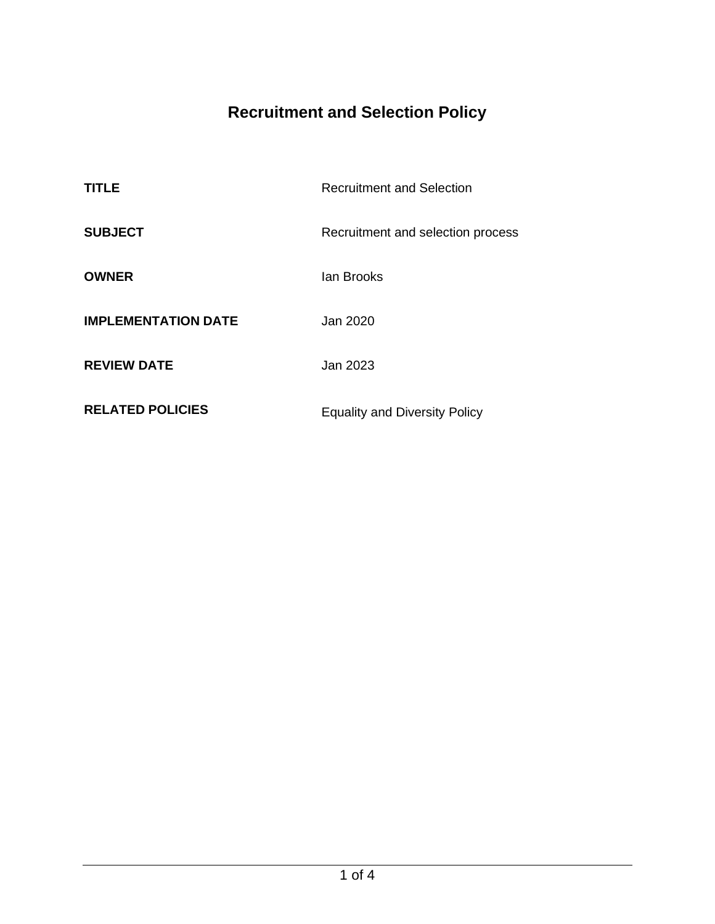# **Recruitment and Selection Policy**

| <b>TITLE</b>               | <b>Recruitment and Selection</b>     |
|----------------------------|--------------------------------------|
| <b>SUBJECT</b>             | Recruitment and selection process    |
| <b>OWNER</b>               | lan Brooks                           |
| <b>IMPLEMENTATION DATE</b> | Jan 2020                             |
| <b>REVIEW DATE</b>         | Jan 2023                             |
| <b>RELATED POLICIES</b>    | <b>Equality and Diversity Policy</b> |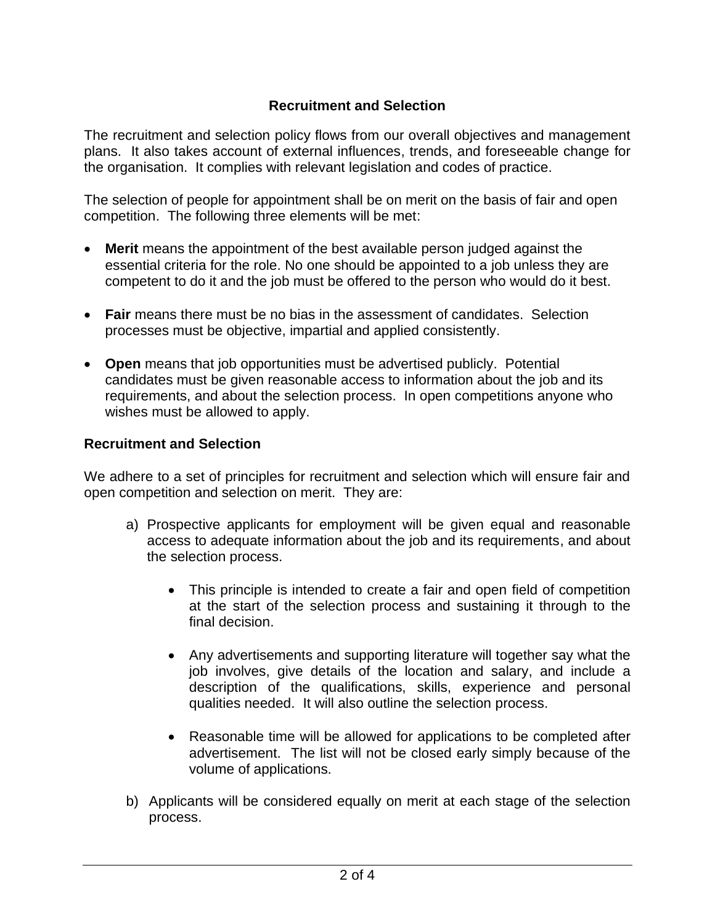## **Recruitment and Selection**

The recruitment and selection policy flows from our overall objectives and management plans. It also takes account of external influences, trends, and foreseeable change for the organisation. It complies with relevant legislation and codes of practice.

The selection of people for appointment shall be on merit on the basis of fair and open competition. The following three elements will be met:

- **Merit** means the appointment of the best available person judged against the essential criteria for the role. No one should be appointed to a job unless they are competent to do it and the job must be offered to the person who would do it best.
- **Fair** means there must be no bias in the assessment of candidates. Selection processes must be objective, impartial and applied consistently.
- **Open** means that job opportunities must be advertised publicly. Potential candidates must be given reasonable access to information about the job and its requirements, and about the selection process. In open competitions anyone who wishes must be allowed to apply.

#### **Recruitment and Selection**

We adhere to a set of principles for recruitment and selection which will ensure fair and open competition and selection on merit. They are:

- a) Prospective applicants for employment will be given equal and reasonable access to adequate information about the job and its requirements, and about the selection process.
	- This principle is intended to create a fair and open field of competition at the start of the selection process and sustaining it through to the final decision.
	- Any advertisements and supporting literature will together say what the job involves, give details of the location and salary, and include a description of the qualifications, skills, experience and personal qualities needed. It will also outline the selection process.
	- Reasonable time will be allowed for applications to be completed after advertisement. The list will not be closed early simply because of the volume of applications.
- b) Applicants will be considered equally on merit at each stage of the selection process.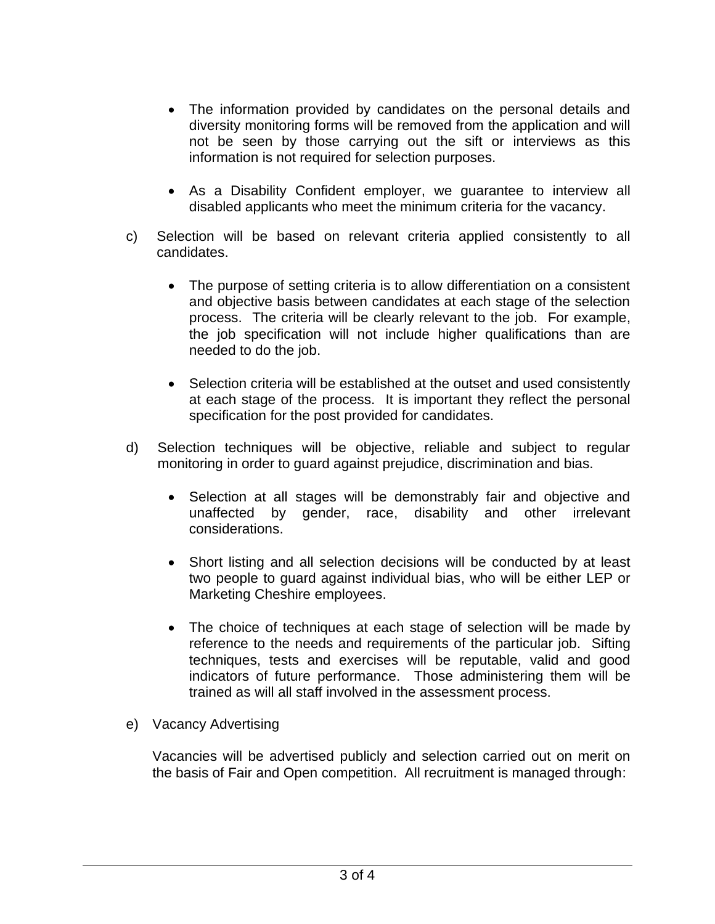- The information provided by candidates on the personal details and diversity monitoring forms will be removed from the application and will not be seen by those carrying out the sift or interviews as this information is not required for selection purposes.
- As a Disability Confident employer, we guarantee to interview all disabled applicants who meet the minimum criteria for the vacancy.
- c) Selection will be based on relevant criteria applied consistently to all candidates.
	- The purpose of setting criteria is to allow differentiation on a consistent and objective basis between candidates at each stage of the selection process. The criteria will be clearly relevant to the job. For example, the job specification will not include higher qualifications than are needed to do the job.
	- Selection criteria will be established at the outset and used consistently at each stage of the process. It is important they reflect the personal specification for the post provided for candidates.
- d) Selection techniques will be objective, reliable and subject to regular monitoring in order to guard against prejudice, discrimination and bias.
	- Selection at all stages will be demonstrably fair and objective and unaffected by gender, race, disability and other irrelevant considerations.
	- Short listing and all selection decisions will be conducted by at least two people to guard against individual bias, who will be either LEP or Marketing Cheshire employees.
	- The choice of techniques at each stage of selection will be made by reference to the needs and requirements of the particular job. Sifting techniques, tests and exercises will be reputable, valid and good indicators of future performance. Those administering them will be trained as will all staff involved in the assessment process.

## e) Vacancy Advertising

Vacancies will be advertised publicly and selection carried out on merit on the basis of Fair and Open competition. All recruitment is managed through: